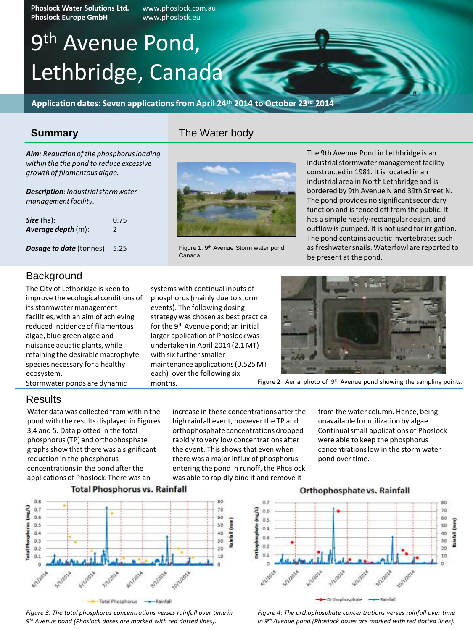**Phoslock Water Solutions Ltd.** www.phoslock.com.au **Phoslock Europe GmbH** 

# 9<sup>th</sup> Avenue Pond, Lethbridge, Canada

**Application dates: Seven applications from April 24th 2014 to October 23rd 2014**

## **Summary**

The Water body

*Aim: Reduction of the phosphorus loading within the the pond to reduce excessive growth of filamentous algae.*

*Description: Industrial stormwater management facility.*

| <b><i>Size</i></b> (ha):  | 0.75         |
|---------------------------|--------------|
| <b>Average depth (m):</b> | <sup>2</sup> |

*Dosage to date* (tonnes): 5.25



The City of Lethbridge is keen to improve the ecological conditions of its stormwater management facilities, with an aim of achieving reduced incidence of filamentous algae, blue green algae and nuisance aquatic plants, while retaining the desirable macrophyte species necessary for a healthy ecosystem.

Stormwater ponds are dynamic

### Results

Water data was collected from within the pond with the results displayed in Figures 3,4 and 5. Data plotted in the total phosphorus (TP) and orthophosphate graphs show that there was a significant reduction in the phosphorus concentrations in the pond after the applications of Phoslock. There was an

increase in these concentrations after the high rainfall event, however the TP and orthophosphate concentrations dropped rapidly to very low concentrations after the event. This shows that even when there was a major influx of phosphorus entering the pond in runoff, the Phoslock was able to rapidly bind it and remove it

**Total Phosphorus vs. Rainfall** 



*Figure 3: The total phosphorus concentrations verses rainfall over time in 9 th Avenue pond (Phoslock doses are marked with red dotted lines).*



Figure 1: 9<sup>th</sup> Avenue Storm water pond, Canada.

systems with continual inputs of phosphorus (mainly due to storm events). The following dosing strategy was chosen as best practice for the 9th Avenue pond; an initial larger application of Phoslock was undertaken in April 2014 (2.1 MT)

maintenance applications (0.525 MT each) over the following six

with six further smaller

months.

The 9th Avenue Pond in Lethbridge is an industrial stormwater management facility constructed in 1981. It is located in an industrial area in North Lethbridge and is bordered by 9th Avenue N and 39th Street N. The pond provides no significant secondary function and is fenced off from the public. It has a simple nearly-rectangular design, and outflow is pumped. It is not used for irrigation. The pond contains aquatic invertebrates such as freshwater snails. Waterfowl are reported to be present at the pond.



Figure 2 : Aerial photo of 9<sup>th</sup> Avenue pond showing the sampling points.

from the water column. Hence, being unavailable for utilization by algae. Continual small applications of Phoslock were able to keep the phosphorus concentrations low in the storm water pond over time.



*Figure 4: The orthophosphate concentrations verses rainfall over time in 9th Avenue pond (Phoslock doses are marked with red dotted lines).*